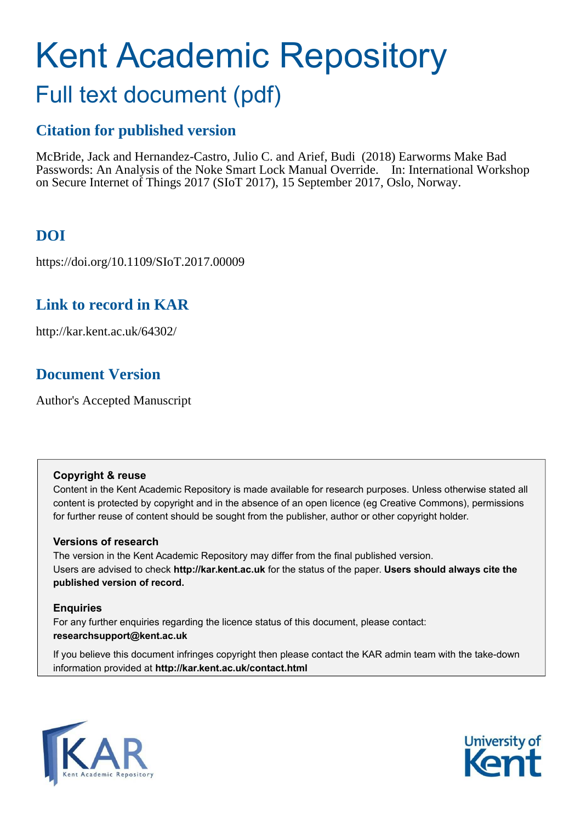# Kent Academic Repository

# Full text document (pdf)

## **Citation for published version**

McBride, Jack and Hernandez-Castro, Julio C. and Arief, Budi (2018) Earworms Make Bad Passwords: An Analysis of the Noke Smart Lock Manual Override. In: International Workshop on Secure Internet of Things 2017 (SIoT 2017), 15 September 2017, Oslo, Norway.

# **DOI**

https://doi.org/10.1109/SIoT.2017.00009

## **Link to record in KAR**

http://kar.kent.ac.uk/64302/

# **Document Version**

Author's Accepted Manuscript

### **Copyright & reuse**

Content in the Kent Academic Repository is made available for research purposes. Unless otherwise stated all content is protected by copyright and in the absence of an open licence (eg Creative Commons), permissions for further reuse of content should be sought from the publisher, author or other copyright holder.

## **Versions of research**

The version in the Kent Academic Repository may differ from the final published version. Users are advised to check **http://kar.kent.ac.uk** for the status of the paper. **Users should always cite the published version of record.**

## **Enquiries**

For any further enquiries regarding the licence status of this document, please contact: **researchsupport@kent.ac.uk**

If you believe this document infringes copyright then please contact the KAR admin team with the take-down information provided at **http://kar.kent.ac.uk/contact.html**



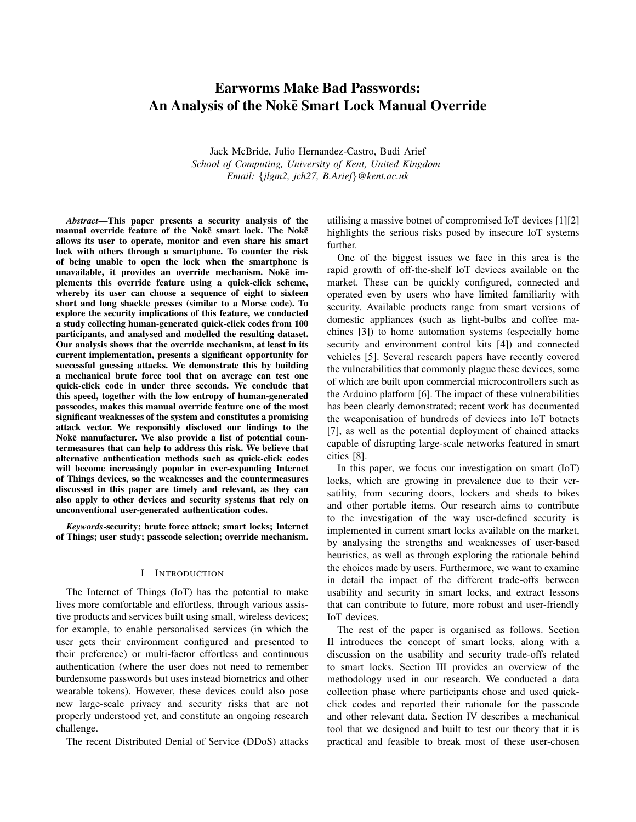## Earworms Make Bad Passwords: An Analysis of the Noke Smart Lock Manual Override ¯

Jack McBride, Julio Hernandez-Castro, Budi Arief *School of Computing, University of Kent, United Kingdom Email:* {*jlgm2, jch27, B.Arief*}*@kent.ac.uk*

*Abstract*—This paper presents a security analysis of the manual override feature of the Noke smart lock. The Noke allows its user to operate, monitor and even share his smart lock with others through a smartphone. To counter the risk of being unable to open the lock when the smartphone is unavailable, it provides an override mechanism. Noke implements this override feature using a quick-click scheme, whereby its user can choose a sequence of eight to sixteen short and long shackle presses (similar to a Morse code). To explore the security implications of this feature, we conducted a study collecting human-generated quick-click codes from 100 participants, and analysed and modelled the resulting dataset. Our analysis shows that the override mechanism, at least in its current implementation, presents a significant opportunity for successful guessing attacks. We demonstrate this by building a mechanical brute force tool that on average can test one quick-click code in under three seconds. We conclude that this speed, together with the low entropy of human-generated passcodes, makes this manual override feature one of the most significant weaknesses of the system and constitutes a promising attack vector. We responsibly disclosed our findings to the Noke manufacturer. We also provide a list of potential countermeasures that can help to address this risk. We believe that alternative authentication methods such as quick-click codes will become increasingly popular in ever-expanding Internet of Things devices, so the weaknesses and the countermeasures discussed in this paper are timely and relevant, as they can also apply to other devices and security systems that rely on unconventional user-generated authentication codes.

*Keywords*-security; brute force attack; smart locks; Internet of Things; user study; passcode selection; override mechanism.

#### I INTRODUCTION

The Internet of Things (IoT) has the potential to make lives more comfortable and effortless, through various assistive products and services built using small, wireless devices; for example, to enable personalised services (in which the user gets their environment configured and presented to their preference) or multi-factor effortless and continuous authentication (where the user does not need to remember burdensome passwords but uses instead biometrics and other wearable tokens). However, these devices could also pose new large-scale privacy and security risks that are not properly understood yet, and constitute an ongoing research challenge.

The recent Distributed Denial of Service (DDoS) attacks

utilising a massive botnet of compromised IoT devices [1][2] highlights the serious risks posed by insecure IoT systems further.

One of the biggest issues we face in this area is the rapid growth of off-the-shelf IoT devices available on the market. These can be quickly configured, connected and operated even by users who have limited familiarity with security. Available products range from smart versions of domestic appliances (such as light-bulbs and coffee machines [3]) to home automation systems (especially home security and environment control kits [4]) and connected vehicles [5]. Several research papers have recently covered the vulnerabilities that commonly plague these devices, some of which are built upon commercial microcontrollers such as the Arduino platform [6]. The impact of these vulnerabilities has been clearly demonstrated; recent work has documented the weaponisation of hundreds of devices into IoT botnets [7], as well as the potential deployment of chained attacks capable of disrupting large-scale networks featured in smart cities [8].

In this paper, we focus our investigation on smart (IoT) locks, which are growing in prevalence due to their versatility, from securing doors, lockers and sheds to bikes and other portable items. Our research aims to contribute to the investigation of the way user-defined security is implemented in current smart locks available on the market, by analysing the strengths and weaknesses of user-based heuristics, as well as through exploring the rationale behind the choices made by users. Furthermore, we want to examine in detail the impact of the different trade-offs between usability and security in smart locks, and extract lessons that can contribute to future, more robust and user-friendly IoT devices.

The rest of the paper is organised as follows. Section II introduces the concept of smart locks, along with a discussion on the usability and security trade-offs related to smart locks. Section III provides an overview of the methodology used in our research. We conducted a data collection phase where participants chose and used quickclick codes and reported their rationale for the passcode and other relevant data. Section IV describes a mechanical tool that we designed and built to test our theory that it is practical and feasible to break most of these user-chosen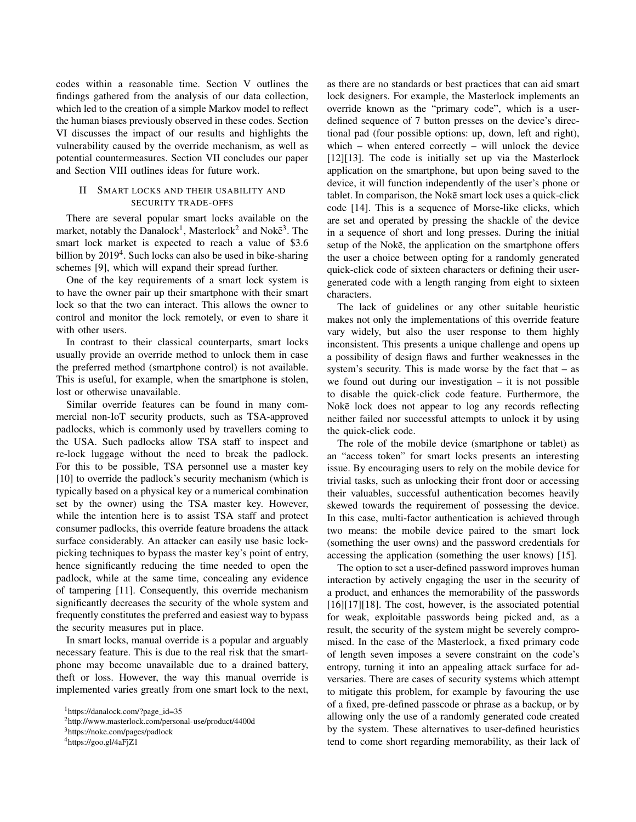codes within a reasonable time. Section V outlines the findings gathered from the analysis of our data collection, which led to the creation of a simple Markov model to reflect the human biases previously observed in these codes. Section VI discusses the impact of our results and highlights the vulnerability caused by the override mechanism, as well as potential countermeasures. Section VII concludes our paper and Section VIII outlines ideas for future work.

#### II SMART LOCKS AND THEIR USABILITY AND SECURITY TRADE-OFFS

There are several popular smart locks available on the market, notably the Danalock<sup>1</sup>, Masterlock<sup>2</sup> and Nokē<sup>3</sup>. The smart lock market is expected to reach a value of \$3.6 billion by 2019<sup>4</sup>. Such locks can also be used in bike-sharing schemes [9], which will expand their spread further.

One of the key requirements of a smart lock system is to have the owner pair up their smartphone with their smart lock so that the two can interact. This allows the owner to control and monitor the lock remotely, or even to share it with other users.

In contrast to their classical counterparts, smart locks usually provide an override method to unlock them in case the preferred method (smartphone control) is not available. This is useful, for example, when the smartphone is stolen, lost or otherwise unavailable.

Similar override features can be found in many commercial non-IoT security products, such as TSA-approved padlocks, which is commonly used by travellers coming to the USA. Such padlocks allow TSA staff to inspect and re-lock luggage without the need to break the padlock. For this to be possible, TSA personnel use a master key [10] to override the padlock's security mechanism (which is typically based on a physical key or a numerical combination set by the owner) using the TSA master key. However, while the intention here is to assist TSA staff and protect consumer padlocks, this override feature broadens the attack surface considerably. An attacker can easily use basic lockpicking techniques to bypass the master key's point of entry, hence significantly reducing the time needed to open the padlock, while at the same time, concealing any evidence of tampering [11]. Consequently, this override mechanism significantly decreases the security of the whole system and frequently constitutes the preferred and easiest way to bypass the security measures put in place.

In smart locks, manual override is a popular and arguably necessary feature. This is due to the real risk that the smartphone may become unavailable due to a drained battery, theft or loss. However, the way this manual override is implemented varies greatly from one smart lock to the next, as there are no standards or best practices that can aid smart lock designers. For example, the Masterlock implements an override known as the "primary code", which is a userdefined sequence of 7 button presses on the device's directional pad (four possible options: up, down, left and right), which – when entered correctly – will unlock the device [12][13]. The code is initially set up via the Masterlock application on the smartphone, but upon being saved to the device, it will function independently of the user's phone or tablet. In comparison, the Noke smart lock uses a quick-click code [14]. This is a sequence of Morse-like clicks, which are set and operated by pressing the shackle of the device in a sequence of short and long presses. During the initial setup of the Noke, the application on the smartphone offers the user a choice between opting for a randomly generated quick-click code of sixteen characters or defining their usergenerated code with a length ranging from eight to sixteen characters.

The lack of guidelines or any other suitable heuristic makes not only the implementations of this override feature vary widely, but also the user response to them highly inconsistent. This presents a unique challenge and opens up a possibility of design flaws and further weaknesses in the system's security. This is made worse by the fact that – as we found out during our investigation – it is not possible to disable the quick-click code feature. Furthermore, the Noke lock does not appear to log any records reflecting neither failed nor successful attempts to unlock it by using the quick-click code.

The role of the mobile device (smartphone or tablet) as an "access token" for smart locks presents an interesting issue. By encouraging users to rely on the mobile device for trivial tasks, such as unlocking their front door or accessing their valuables, successful authentication becomes heavily skewed towards the requirement of possessing the device. In this case, multi-factor authentication is achieved through two means: the mobile device paired to the smart lock (something the user owns) and the password credentials for accessing the application (something the user knows) [15].

The option to set a user-defined password improves human interaction by actively engaging the user in the security of a product, and enhances the memorability of the passwords  $[16][17][18]$ . The cost, however, is the associated potential for weak, exploitable passwords being picked and, as a result, the security of the system might be severely compromised. In the case of the Masterlock, a fixed primary code of length seven imposes a severe constraint on the code's entropy, turning it into an appealing attack surface for adversaries. There are cases of security systems which attempt to mitigate this problem, for example by favouring the use of a fixed, pre-defined passcode or phrase as a backup, or by allowing only the use of a randomly generated code created by the system. These alternatives to user-defined heuristics tend to come short regarding memorability, as their lack of

<sup>&</sup>lt;sup>1</sup>https://danalock.com/?page\_id=35

<sup>2</sup>http://www.masterlock.com/personal-use/product/4400d

<sup>3</sup>https://noke.com/pages/padlock

<sup>4</sup>https://goo.gl/4aFjZ1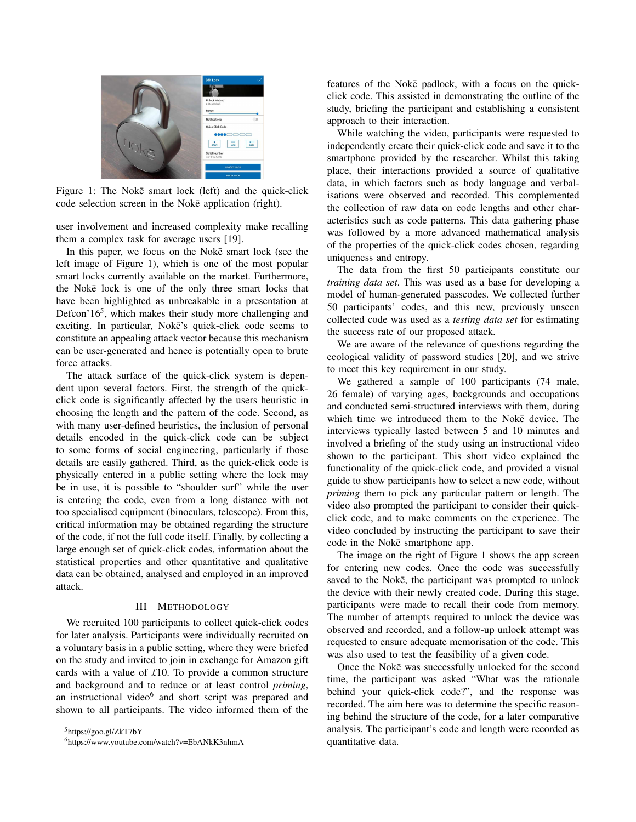

Figure 1: The Noke smart lock (left) and the quick-click code selection screen in the Noke application (right).

user involvement and increased complexity make recalling them a complex task for average users [19].

In this paper, we focus on the Noke smart lock (see the left image of Figure 1), which is one of the most popular smart locks currently available on the market. Furthermore, the Noke lock is one of the only three smart locks that have been highlighted as unbreakable in a presentation at Defcon'16<sup>5</sup>, which makes their study more challenging and exciting. In particular, Noke's quick-click code seems to constitute an appealing attack vector because this mechanism can be user-generated and hence is potentially open to brute force attacks.

The attack surface of the quick-click system is dependent upon several factors. First, the strength of the quickclick code is significantly affected by the users heuristic in choosing the length and the pattern of the code. Second, as with many user-defined heuristics, the inclusion of personal details encoded in the quick-click code can be subject to some forms of social engineering, particularly if those details are easily gathered. Third, as the quick-click code is physically entered in a public setting where the lock may be in use, it is possible to "shoulder surf" while the user is entering the code, even from a long distance with not too specialised equipment (binoculars, telescope). From this, critical information may be obtained regarding the structure of the code, if not the full code itself. Finally, by collecting a large enough set of quick-click codes, information about the statistical properties and other quantitative and qualitative data can be obtained, analysed and employed in an improved attack.

#### III METHODOLOGY

We recruited 100 participants to collect quick-click codes for later analysis. Participants were individually recruited on a voluntary basis in a public setting, where they were briefed on the study and invited to join in exchange for Amazon gift cards with a value of *£*10. To provide a common structure and background and to reduce or at least control *priming*, an instructional video<sup>6</sup> and short script was prepared and shown to all participants. The video informed them of the features of the Noke padlock, with a focus on the quickclick code. This assisted in demonstrating the outline of the study, briefing the participant and establishing a consistent approach to their interaction.

While watching the video, participants were requested to independently create their quick-click code and save it to the smartphone provided by the researcher. Whilst this taking place, their interactions provided a source of qualitative data, in which factors such as body language and verbalisations were observed and recorded. This complemented the collection of raw data on code lengths and other characteristics such as code patterns. This data gathering phase was followed by a more advanced mathematical analysis of the properties of the quick-click codes chosen, regarding uniqueness and entropy.

The data from the first 50 participants constitute our *training data set*. This was used as a base for developing a model of human-generated passcodes. We collected further 50 participants' codes, and this new, previously unseen collected code was used as a *testing data set* for estimating the success rate of our proposed attack.

We are aware of the relevance of questions regarding the ecological validity of password studies [20], and we strive to meet this key requirement in our study.

We gathered a sample of 100 participants (74 male, 26 female) of varying ages, backgrounds and occupations and conducted semi-structured interviews with them, during which time we introduced them to the Noke device. The interviews typically lasted between 5 and 10 minutes and involved a briefing of the study using an instructional video shown to the participant. This short video explained the functionality of the quick-click code, and provided a visual guide to show participants how to select a new code, without *priming* them to pick any particular pattern or length. The video also prompted the participant to consider their quickclick code, and to make comments on the experience. The video concluded by instructing the participant to save their code in the Noke smartphone app.

The image on the right of Figure 1 shows the app screen for entering new codes. Once the code was successfully saved to the Noke, the participant was prompted to unlock the device with their newly created code. During this stage, participants were made to recall their code from memory. The number of attempts required to unlock the device was observed and recorded, and a follow-up unlock attempt was requested to ensure adequate memorisation of the code. This was also used to test the feasibility of a given code.

Once the Noke was successfully unlocked for the second time, the participant was asked "What was the rationale behind your quick-click code?", and the response was recorded. The aim here was to determine the specific reasoning behind the structure of the code, for a later comparative analysis. The participant's code and length were recorded as quantitative data.

<sup>5</sup>https://goo.gl/ZkT7bY

<sup>6</sup>https://www.youtube.com/watch?v=EbANkK3nhmA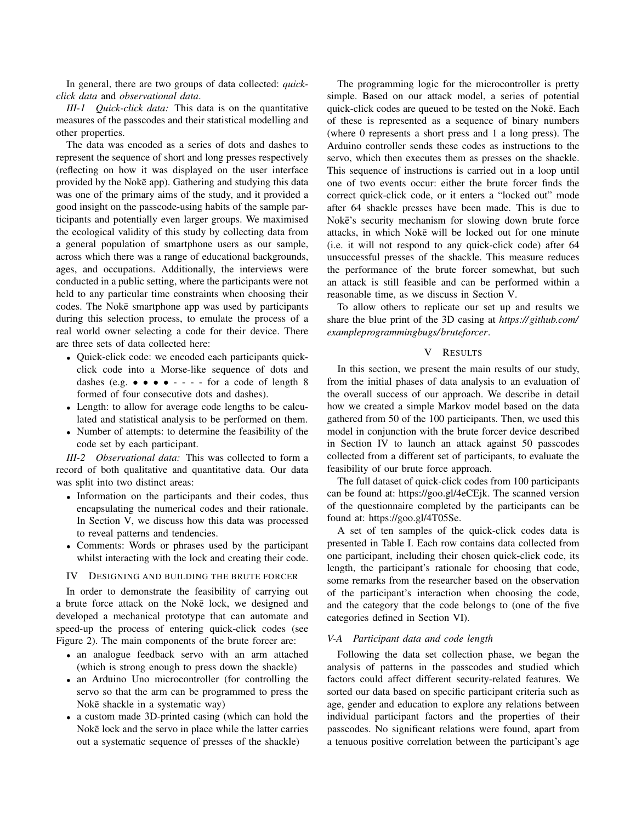In general, there are two groups of data collected: *quickclick data* and *observational data*.

*III-1 Quick-click data:* This data is on the quantitative measures of the passcodes and their statistical modelling and other properties.

The data was encoded as a series of dots and dashes to represent the sequence of short and long presses respectively (reflecting on how it was displayed on the user interface provided by the Noke app). Gathering and studying this data was one of the primary aims of the study, and it provided a good insight on the passcode-using habits of the sample participants and potentially even larger groups. We maximised the ecological validity of this study by collecting data from a general population of smartphone users as our sample, across which there was a range of educational backgrounds, ages, and occupations. Additionally, the interviews were conducted in a public setting, where the participants were not held to any particular time constraints when choosing their codes. The Noke smartphone app was used by participants during this selection process, to emulate the process of a real world owner selecting a code for their device. There are three sets of data collected here:

- Quick-click code: we encoded each participants quickclick code into a Morse-like sequence of dots and dashes (e.g.  $\bullet \bullet \bullet \bullet \bullet - - -$  for a code of length 8 formed of four consecutive dots and dashes).
- Length: to allow for average code lengths to be calculated and statistical analysis to be performed on them.
- Number of attempts: to determine the feasibility of the code set by each participant.

*III-2 Observational data:* This was collected to form a record of both qualitative and quantitative data. Our data was split into two distinct areas:

- Information on the participants and their codes, thus encapsulating the numerical codes and their rationale. In Section V, we discuss how this data was processed to reveal patterns and tendencies.
- Comments: Words or phrases used by the participant whilst interacting with the lock and creating their code.

#### IV DESIGNING AND BUILDING THE BRUTE FORCER

In order to demonstrate the feasibility of carrying out a brute force attack on the Noke lock, we designed and developed a mechanical prototype that can automate and speed-up the process of entering quick-click codes (see Figure 2). The main components of the brute forcer are:

- an analogue feedback servo with an arm attached (which is strong enough to press down the shackle)
- an Arduino Uno microcontroller (for controlling the servo so that the arm can be programmed to press the Noke shackle in a systematic way)
- a custom made 3D-printed casing (which can hold the Noke lock and the servo in place while the latter carries out a systematic sequence of presses of the shackle)

The programming logic for the microcontroller is pretty simple. Based on our attack model, a series of potential quick-click codes are queued to be tested on the Noke. Each ¯ of these is represented as a sequence of binary numbers (where 0 represents a short press and 1 a long press). The Arduino controller sends these codes as instructions to the servo, which then executes them as presses on the shackle. This sequence of instructions is carried out in a loop until one of two events occur: either the brute forcer finds the correct quick-click code, or it enters a "locked out" mode after 64 shackle presses have been made. This is due to Noke's security mechanism for slowing down brute force attacks, in which Noke will be locked out for one minute (i.e. it will not respond to any quick-click code) after 64 unsuccessful presses of the shackle. This measure reduces the performance of the brute forcer somewhat, but such an attack is still feasible and can be performed within a reasonable time, as we discuss in Section V.

To allow others to replicate our set up and results we share the blue print of the 3D casing at *https://github.com/ exampleprogrammingbugs/bruteforcer*.

#### V RESULTS

In this section, we present the main results of our study, from the initial phases of data analysis to an evaluation of the overall success of our approach. We describe in detail how we created a simple Markov model based on the data gathered from 50 of the 100 participants. Then, we used this model in conjunction with the brute forcer device described in Section IV to launch an attack against 50 passcodes collected from a different set of participants, to evaluate the feasibility of our brute force approach.

The full dataset of quick-click codes from 100 participants can be found at: https://goo.gl/4eCEjk. The scanned version of the questionnaire completed by the participants can be found at: https://goo.gl/4T05Se.

A set of ten samples of the quick-click codes data is presented in Table I. Each row contains data collected from one participant, including their chosen quick-click code, its length, the participant's rationale for choosing that code, some remarks from the researcher based on the observation of the participant's interaction when choosing the code, and the category that the code belongs to (one of the five categories defined in Section VI).

#### *V-A Participant data and code length*

Following the data set collection phase, we began the analysis of patterns in the passcodes and studied which factors could affect different security-related features. We sorted our data based on specific participant criteria such as age, gender and education to explore any relations between individual participant factors and the properties of their passcodes. No significant relations were found, apart from a tenuous positive correlation between the participant's age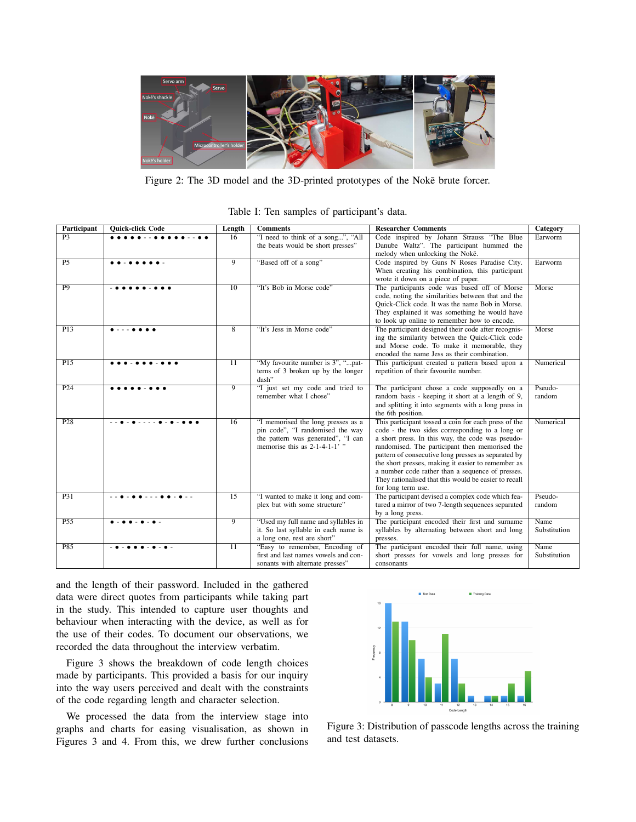

Figure 2: The 3D model and the 3D-printed prototypes of the Noke brute forcer.

| Table I: Ten samples of participant's data. |  |  |  |  |  |  |  |
|---------------------------------------------|--|--|--|--|--|--|--|
|---------------------------------------------|--|--|--|--|--|--|--|

| Participant     | <b>Quick-click Code</b> | Length          | <b>Comments</b>                                                       | <b>Researcher Comments</b>                                                                            | Category     |
|-----------------|-------------------------|-----------------|-----------------------------------------------------------------------|-------------------------------------------------------------------------------------------------------|--------------|
| P <sub>3</sub>  | .                       | 16              | "I need to think of a song", "All                                     | Code inspired by Johann Strauss "The Blue                                                             | Earworm      |
|                 |                         |                 | the beats would be short presses"                                     | Danube Waltz". The participant hummed the                                                             |              |
|                 |                         |                 |                                                                       | melody when unlocking the Noke.                                                                       |              |
| P <sub>5</sub>  |                         | $\overline{9}$  | "Based off of a song"                                                 | Code inspired by Guns N Roses Paradise City.                                                          | Earworm      |
|                 |                         |                 |                                                                       | When creating his combination, this participant                                                       |              |
|                 |                         |                 |                                                                       | wrote it down on a piece of paper.                                                                    |              |
| P9              |                         | 10              | "It's Bob in Morse code"                                              | The participants code was based off of Morse                                                          | Morse        |
|                 |                         |                 |                                                                       | code, noting the similarities between that and the                                                    |              |
|                 |                         |                 |                                                                       | Quick-Click code. It was the name Bob in Morse.                                                       |              |
|                 |                         |                 |                                                                       | They explained it was something he would have<br>to look up online to remember how to encode.         |              |
| P13             |                         | 8               | "It's Jess in Morse code"                                             | The participant designed their code after recognis-                                                   | Morse        |
|                 |                         |                 |                                                                       | ing the similarity between the Quick-Click code                                                       |              |
|                 |                         |                 |                                                                       | and Morse code. To make it memorable, they                                                            |              |
|                 |                         |                 |                                                                       | encoded the name Jess as their combination.                                                           |              |
| PI5             |                         | $\overline{11}$ | "My favourite number is 3", "pat-                                     | This participant created a pattern based upon a                                                       | Numerical    |
|                 |                         |                 | terns of 3 broken up by the longer                                    | repetition of their favourite number.                                                                 |              |
|                 |                         |                 | dash"                                                                 |                                                                                                       |              |
| P <sub>24</sub> |                         | $\overline{9}$  | "I just set my code and tried to                                      | The participant chose a code supposedly on a                                                          | Pseudo-      |
|                 |                         |                 | remember what I chose"                                                | random basis - keeping it short at a length of 9,                                                     | random       |
|                 |                         |                 |                                                                       | and splitting it into segments with a long press in                                                   |              |
|                 |                         |                 |                                                                       | the 6th position.                                                                                     |              |
| P28             |                         | 16              | "I memorised the long presses as a                                    | This participant tossed a coin for each press of the                                                  | Numerical    |
|                 |                         |                 | pin code", "I randomised the way                                      | code - the two sides corresponding to a long or                                                       |              |
|                 |                         |                 | the pattern was generated", "I can<br>memorise this as $2-1-4-1-1$ ." | a short press. In this way, the code was pseudo-                                                      |              |
|                 |                         |                 |                                                                       | randomised. The participant then memorised the<br>pattern of consecutive long presses as separated by |              |
|                 |                         |                 |                                                                       | the short presses, making it easier to remember as                                                    |              |
|                 |                         |                 |                                                                       | a number code rather than a sequence of presses.                                                      |              |
|                 |                         |                 |                                                                       | They rationalised that this would be easier to recall                                                 |              |
|                 |                         |                 |                                                                       | for long term use.                                                                                    |              |
| P31             |                         | $\overline{15}$ | "I wanted to make it long and com-                                    | The participant devised a complex code which fea-                                                     | Pseudo-      |
|                 |                         |                 | plex but with some structure"                                         | tured a mirror of two 7-length sequences separated                                                    | random       |
|                 |                         |                 |                                                                       | by a long press.                                                                                      |              |
| P55             |                         | $\overline{9}$  | "Used my full name and syllables in                                   | The participant encoded their first and surname                                                       | Name         |
|                 |                         |                 | it. So last syllable in each name is                                  | syllables by alternating between short and long                                                       | Substitution |
|                 |                         |                 | a long one, rest are short"                                           | presses.                                                                                              |              |
| P85             |                         | 11              | "Easy to remember, Encoding of                                        | The participant encoded their full name, using                                                        | Name         |
|                 |                         |                 | first and last names vowels and con-                                  | short presses for vowels and long presses for                                                         | Substitution |
|                 |                         |                 | sonants with alternate presses"                                       | consonants                                                                                            |              |

and the length of their password. Included in the gathered data were direct quotes from participants while taking part in the study. This intended to capture user thoughts and behaviour when interacting with the device, as well as for the use of their codes. To document our observations, we recorded the data throughout the interview verbatim.

Figure 3 shows the breakdown of code length choices made by participants. This provided a basis for our inquiry into the way users perceived and dealt with the constraints of the code regarding length and character selection.

We processed the data from the interview stage into graphs and charts for easing visualisation, as shown in Figures 3 and 4. From this, we drew further conclusions



Figure 3: Distribution of passcode lengths across the training and test datasets.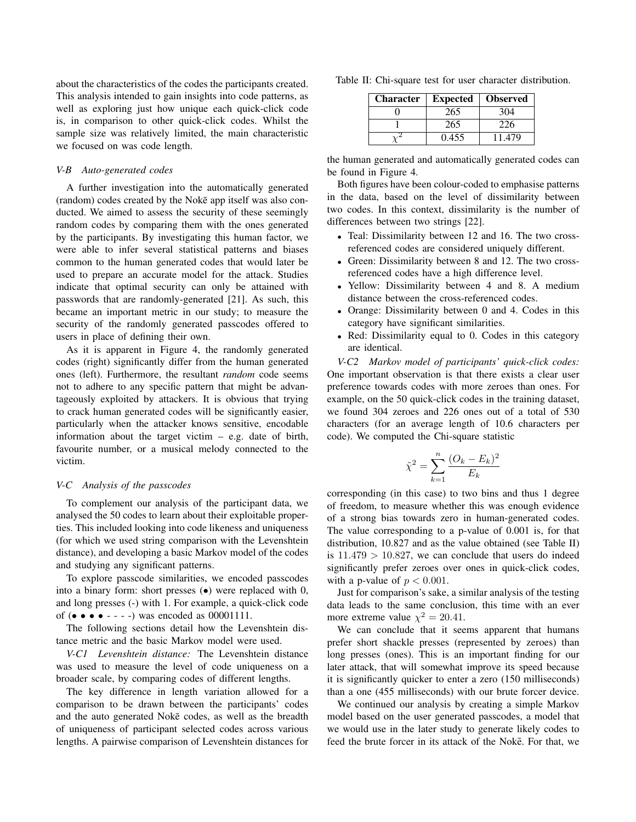about the characteristics of the codes the participants created. This analysis intended to gain insights into code patterns, as well as exploring just how unique each quick-click code is, in comparison to other quick-click codes. Whilst the sample size was relatively limited, the main characteristic we focused on was code length.

#### *V-B Auto-generated codes*

A further investigation into the automatically generated (random) codes created by the Noke app itself was also conducted. We aimed to assess the security of these seemingly random codes by comparing them with the ones generated by the participants. By investigating this human factor, we were able to infer several statistical patterns and biases common to the human generated codes that would later be used to prepare an accurate model for the attack. Studies indicate that optimal security can only be attained with passwords that are randomly-generated [21]. As such, this became an important metric in our study; to measure the security of the randomly generated passcodes offered to users in place of defining their own.

As it is apparent in Figure 4, the randomly generated codes (right) significantly differ from the human generated ones (left). Furthermore, the resultant *random* code seems not to adhere to any specific pattern that might be advantageously exploited by attackers. It is obvious that trying to crack human generated codes will be significantly easier, particularly when the attacker knows sensitive, encodable information about the target victim – e.g. date of birth, favourite number, or a musical melody connected to the victim.

#### *V-C Analysis of the passcodes*

To complement our analysis of the participant data, we analysed the 50 codes to learn about their exploitable properties. This included looking into code likeness and uniqueness (for which we used string comparison with the Levenshtein distance), and developing a basic Markov model of the codes and studying any significant patterns.

To explore passcode similarities, we encoded passcodes into a binary form: short presses  $\left( \bullet \right)$  were replaced with 0, and long presses (-) with 1. For example, a quick-click code of  $(\bullet \bullet \bullet \bullet \bullet \bullet \bullet \bullet \bullet)$  was encoded as 00001111.

The following sections detail how the Levenshtein distance metric and the basic Markov model were used.

*V-C1 Levenshtein distance:* The Levenshtein distance was used to measure the level of code uniqueness on a broader scale, by comparing codes of different lengths.

The key difference in length variation allowed for a comparison to be drawn between the participants' codes and the auto generated Noke codes, as well as the breadth of uniqueness of participant selected codes across various lengths. A pairwise comparison of Levenshtein distances for

Table II: Chi-square test for user character distribution.

| <b>Character</b> | <b>Expected</b> | <b>Observed</b> |
|------------------|-----------------|-----------------|
|                  | 265             | 304             |
|                  | 265             | 226             |
|                  | 0.455           | 11.479          |

the human generated and automatically generated codes can be found in Figure 4.

Both figures have been colour-coded to emphasise patterns in the data, based on the level of dissimilarity between two codes. In this context, dissimilarity is the number of differences between two strings [22].

- Teal: Dissimilarity between 12 and 16. The two crossreferenced codes are considered uniquely different.
- Green: Dissimilarity between 8 and 12. The two crossreferenced codes have a high difference level.
- Yellow: Dissimilarity between 4 and 8. A medium distance between the cross-referenced codes.
- Orange: Dissimilarity between 0 and 4. Codes in this category have significant similarities.
- Red: Dissimilarity equal to 0. Codes in this category are identical.

*V-C2 Markov model of participants' quick-click codes:* One important observation is that there exists a clear user preference towards codes with more zeroes than ones. For example, on the 50 quick-click codes in the training dataset, we found 304 zeroes and 226 ones out of a total of 530 characters (for an average length of 10.6 characters per code). We computed the Chi-square statistic

$$
\tilde{\chi}^2 = \sum_{k=1}^{n} \frac{(O_k - E_k)^2}{E_k}
$$

corresponding (in this case) to two bins and thus 1 degree of freedom, to measure whether this was enough evidence of a strong bias towards zero in human-generated codes. The value corresponding to a p-value of 0.001 is, for that distribution, 10.827 and as the value obtained (see Table II) is  $11.479 > 10.827$ , we can conclude that users do indeed significantly prefer zeroes over ones in quick-click codes, with a p-value of  $p < 0.001$ .

Just for comparison's sake, a similar analysis of the testing data leads to the same conclusion, this time with an ever more extreme value  $\chi^2 = 20.41$ .

We can conclude that it seems apparent that humans prefer short shackle presses (represented by zeroes) than long presses (ones). This is an important finding for our later attack, that will somewhat improve its speed because it is significantly quicker to enter a zero (150 milliseconds) than a one (455 milliseconds) with our brute forcer device.

We continued our analysis by creating a simple Markov model based on the user generated passcodes, a model that we would use in the later study to generate likely codes to feed the brute forcer in its attack of the Noke. For that, we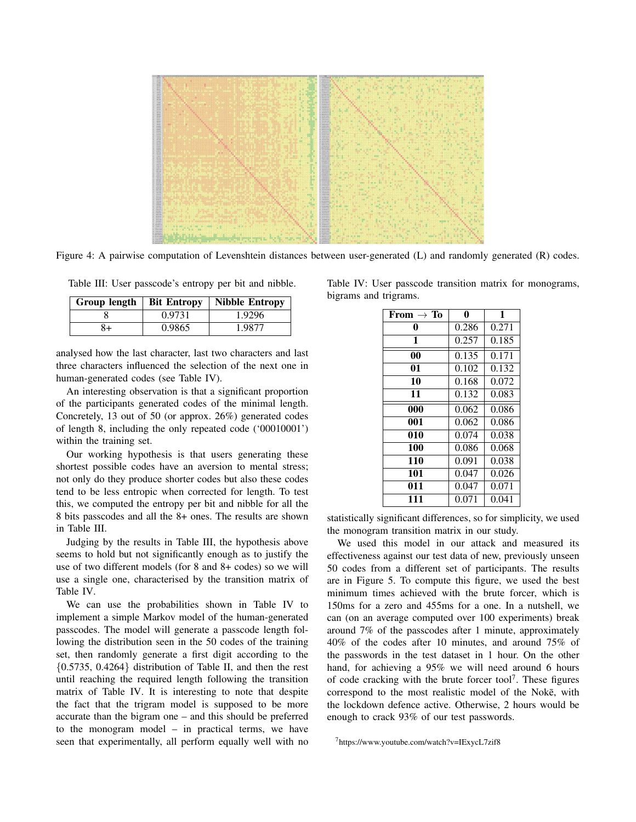

Figure 4: A pairwise computation of Levenshtein distances between user-generated (L) and randomly generated (R) codes.

Table III: User passcode's entropy per bit and nibble.

| Group length | <b>Bit Entropy</b> | Nibble Entropy |
|--------------|--------------------|----------------|
|              | 0.9731             | 1.9296         |
| 3+           | 0.9865             | 1.9877         |

analysed how the last character, last two characters and last three characters influenced the selection of the next one in human-generated codes (see Table IV).

An interesting observation is that a significant proportion of the participants generated codes of the minimal length. Concretely, 13 out of 50 (or approx. 26%) generated codes of length 8, including the only repeated code ('00010001') within the training set.

Our working hypothesis is that users generating these shortest possible codes have an aversion to mental stress; not only do they produce shorter codes but also these codes tend to be less entropic when corrected for length. To test this, we computed the entropy per bit and nibble for all the 8 bits passcodes and all the 8+ ones. The results are shown in Table III.

Judging by the results in Table III, the hypothesis above seems to hold but not significantly enough as to justify the use of two different models (for 8 and 8+ codes) so we will use a single one, characterised by the transition matrix of Table IV.

We can use the probabilities shown in Table IV to implement a simple Markov model of the human-generated passcodes. The model will generate a passcode length following the distribution seen in the 50 codes of the training set, then randomly generate a first digit according to the {0.5735, 0.4264} distribution of Table II, and then the rest until reaching the required length following the transition matrix of Table IV. It is interesting to note that despite the fact that the trigram model is supposed to be more accurate than the bigram one – and this should be preferred to the monogram model – in practical terms, we have seen that experimentally, all perform equally well with no Table IV: User passcode transition matrix for monograms, bigrams and trigrams.

| From $\rightarrow$ To | 0     | 1     |
|-----------------------|-------|-------|
| 0                     | 0.286 | 0.271 |
| 1                     | 0.257 | 0.185 |
| 0 <sub>0</sub>        | 0.135 | 0.171 |
| 01                    | 0.102 | 0.132 |
| 10                    | 0.168 | 0.072 |
| 11                    | 0.132 | 0.083 |
| 000                   | 0.062 | 0.086 |
| 001                   | 0.062 | 0.086 |
| 010                   | 0.074 | 0.038 |
| 100                   | 0.086 | 0.068 |
| 110                   | 0.091 | 0.038 |
| 101                   | 0.047 | 0.026 |
| 011                   | 0.047 | 0.071 |
| 111                   | 0.071 | 0.041 |

statistically significant differences, so for simplicity, we used the monogram transition matrix in our study.

We used this model in our attack and measured its effectiveness against our test data of new, previously unseen 50 codes from a different set of participants. The results are in Figure 5. To compute this figure, we used the best minimum times achieved with the brute forcer, which is 150ms for a zero and 455ms for a one. In a nutshell, we can (on an average computed over 100 experiments) break around 7% of the passcodes after 1 minute, approximately 40% of the codes after 10 minutes, and around 75% of the passwords in the test dataset in 1 hour. On the other hand, for achieving a 95% we will need around 6 hours of code cracking with the brute forcer tool<sup>7</sup>. These figures correspond to the most realistic model of the Noke, with the lockdown defence active. Otherwise, 2 hours would be enough to crack 93% of our test passwords.

<sup>7</sup>https://www.youtube.com/watch?v=IExycL7zif8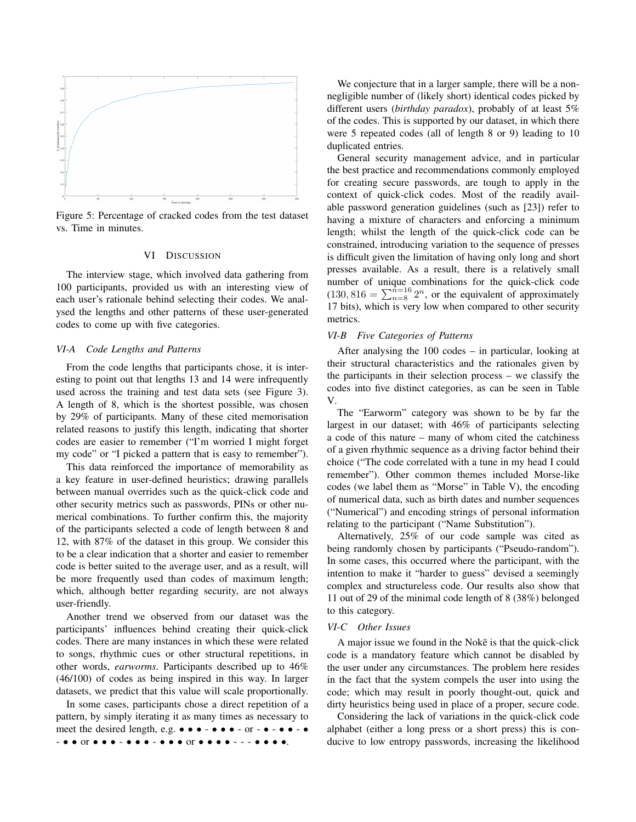

Figure 5: Percentage of cracked codes from the test dataset vs. Time in minutes.

#### VI DISCUSSION

The interview stage, which involved data gathering from 100 participants, provided us with an interesting view of each user's rationale behind selecting their codes. We analysed the lengths and other patterns of these user-generated codes to come up with five categories.

#### *VI-A Code Lengths and Patterns*

From the code lengths that participants chose, it is interesting to point out that lengths 13 and 14 were infrequently used across the training and test data sets (see Figure 3). A length of 8, which is the shortest possible, was chosen by 29% of participants. Many of these cited memorisation related reasons to justify this length, indicating that shorter codes are easier to remember ("I'm worried I might forget my code" or "I picked a pattern that is easy to remember").

This data reinforced the importance of memorability as a key feature in user-defined heuristics; drawing parallels between manual overrides such as the quick-click code and other security metrics such as passwords, PINs or other numerical combinations. To further confirm this, the majority of the participants selected a code of length between 8 and 12, with 87% of the dataset in this group. We consider this to be a clear indication that a shorter and easier to remember code is better suited to the average user, and as a result, will be more frequently used than codes of maximum length; which, although better regarding security, are not always user-friendly.

Another trend we observed from our dataset was the participants' influences behind creating their quick-click codes. There are many instances in which these were related to songs, rhythmic cues or other structural repetitions, in other words, *earworms*. Participants described up to 46% (46/100) of codes as being inspired in this way. In larger datasets, we predict that this value will scale proportionally.

In some cases, participants chose a direct repetition of a pattern, by simply iterating it as many times as necessary to meet the desired length, e.g.  $\bullet \bullet \bullet \bullet \bullet \bullet \bullet \bullet \bullet \bullet \bullet \bullet \bullet \bullet \bullet \bullet$ - • • or • • • - • • • - • • • or • • • • - - - • • • •.

We conjecture that in a larger sample, there will be a nonnegligible number of (likely short) identical codes picked by different users (*birthday paradox*), probably of at least 5% of the codes. This is supported by our dataset, in which there were 5 repeated codes (all of length 8 or 9) leading to 10 duplicated entries.

General security management advice, and in particular the best practice and recommendations commonly employed for creating secure passwords, are tough to apply in the context of quick-click codes. Most of the readily available password generation guidelines (such as [23]) refer to having a mixture of characters and enforcing a minimum length; whilst the length of the quick-click code can be constrained, introducing variation to the sequence of presses is difficult given the limitation of having only long and short presses available. As a result, there is a relatively small number of unique combinations for the quick-click code  $(130, 816 = \sum_{n=8}^{n=16} 2^n)$ , or the equivalent of approximately 17 bits), which is very low when compared to other security metrics.

#### *VI-B Five Categories of Patterns*

After analysing the 100 codes – in particular, looking at their structural characteristics and the rationales given by the participants in their selection process – we classify the codes into five distinct categories, as can be seen in Table V.

The "Earworm" category was shown to be by far the largest in our dataset; with 46% of participants selecting a code of this nature – many of whom cited the catchiness of a given rhythmic sequence as a driving factor behind their choice ("The code correlated with a tune in my head I could remember"). Other common themes included Morse-like codes (we label them as "Morse" in Table V), the encoding of numerical data, such as birth dates and number sequences ("Numerical") and encoding strings of personal information relating to the participant ("Name Substitution").

Alternatively, 25% of our code sample was cited as being randomly chosen by participants ("Pseudo-random"). In some cases, this occurred where the participant, with the intention to make it "harder to guess" devised a seemingly complex and structureless code. Our results also show that 11 out of 29 of the minimal code length of 8 (38%) belonged to this category.

#### *VI-C Other Issues*

A major issue we found in the Noke is that the quick-click code is a mandatory feature which cannot be disabled by the user under any circumstances. The problem here resides in the fact that the system compels the user into using the code; which may result in poorly thought-out, quick and dirty heuristics being used in place of a proper, secure code.

Considering the lack of variations in the quick-click code alphabet (either a long press or a short press) this is conducive to low entropy passwords, increasing the likelihood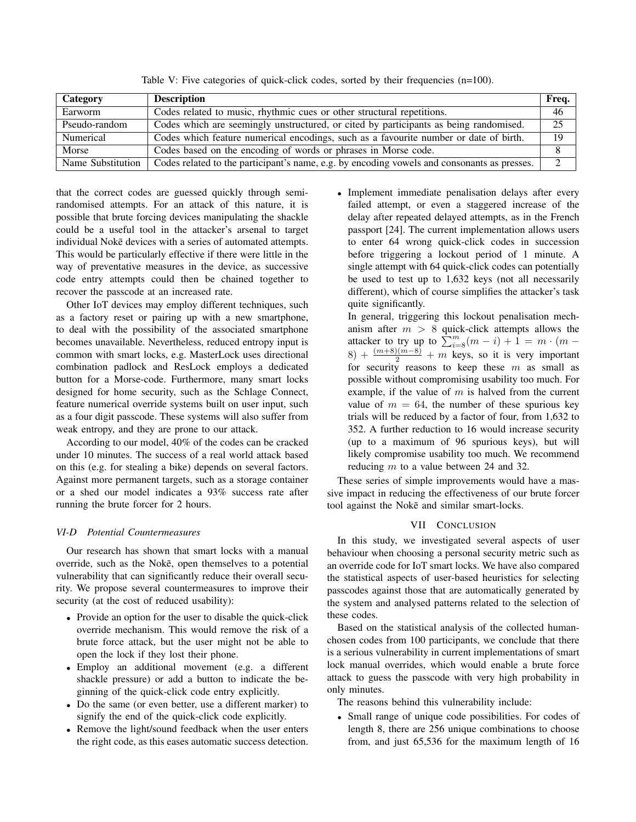| Category          | <b>Description</b>                                                                          | Freq.    |
|-------------------|---------------------------------------------------------------------------------------------|----------|
| Earworm           | Codes related to music, rhythmic cues or other structural repetitions.                      | 46       |
| Pseudo-random     | Codes which are seemingly unstructured, or cited by participants as being randomised.       | 25       |
| Numerical         | Codes which feature numerical encodings, such as a favourite number or date of birth.       | 19       |
| Morse             | Codes based on the encoding of words or phrases in Morse code.                              |          |
| Name Substitution | Codes related to the participant's name, e.g. by encoding vowels and consonants as presses. | $\gamma$ |

Table V: Five categories of quick-click codes, sorted by their frequencies (n=100).

that the correct codes are guessed quickly through semirandomised attempts. For an attack of this nature, it is possible that brute forcing devices manipulating the shackle could be a useful tool in the attacker's arsenal to target individual Noke devices with a series of automated attempts. This would be particularly effective if there were little in the way of preventative measures in the device, as successive code entry attempts could then be chained together to recover the passcode at an increased rate.

Other IoT devices may employ different techniques, such as a factory reset or pairing up with a new smartphone, to deal with the possibility of the associated smartphone becomes unavailable. Nevertheless, reduced entropy input is common with smart locks, e.g. MasterLock uses directional combination padlock and ResLock employs a dedicated button for a Morse-code. Furthermore, many smart locks designed for home security, such as the Schlage Connect, feature numerical override systems built on user input, such as a four digit passcode. These systems will also suffer from weak entropy, and they are prone to our attack.

According to our model, 40% of the codes can be cracked under 10 minutes. The success of a real world attack based on this (e.g. for stealing a bike) depends on several factors. Against more permanent targets, such as a storage container or a shed our model indicates a 93% success rate after running the brute forcer for 2 hours.

#### *VI-D Potential Countermeasures*

Our research has shown that smart locks with a manual override, such as the Noke, open themselves to a potential vulnerability that can significantly reduce their overall security. We propose several countermeasures to improve their security (at the cost of reduced usability):

- Provide an option for the user to disable the quick-click override mechanism. This would remove the risk of a brute force attack, but the user might not be able to open the lock if they lost their phone.
- Employ an additional movement (e.g. a different shackle pressure) or add a button to indicate the beginning of the quick-click code entry explicitly.
- Do the same (or even better, use a different marker) to signify the end of the quick-click code explicitly.
- Remove the light/sound feedback when the user enters the right code, as this eases automatic success detection.

• Implement immediate penalisation delays after every failed attempt, or even a staggered increase of the delay after repeated delayed attempts, as in the French passport [24]. The current implementation allows users to enter 64 wrong quick-click codes in succession before triggering a lockout period of 1 minute. A single attempt with 64 quick-click codes can potentially be used to test up to 1,632 keys (not all necessarily different), which of course simplifies the attacker's task quite significantly.

In general, triggering this lockout penalisation mechanism after  $m > 8$  quick-click attempts allows the attacker to try up to  $\sum_{i=8}^{m} (m - i) + 1 = m \cdot (m - i)$  $(8) + \frac{(m+8)(m-8)}{2} + m$  keys, so it is very important for security reasons to keep these  $m$  as small as possible without compromising usability too much. For example, if the value of  $m$  is halved from the current value of  $m = 64$ , the number of these spurious key trials will be reduced by a factor of four, from 1,632 to 352. A further reduction to 16 would increase security (up to a maximum of 96 spurious keys), but will likely compromise usability too much. We recommend reducing  $m$  to a value between 24 and 32.

These series of simple improvements would have a massive impact in reducing the effectiveness of our brute forcer tool against the Noke and similar smart-locks.

#### VII CONCLUSION

In this study, we investigated several aspects of user behaviour when choosing a personal security metric such as an override code for IoT smart locks. We have also compared the statistical aspects of user-based heuristics for selecting passcodes against those that are automatically generated by the system and analysed patterns related to the selection of these codes.

Based on the statistical analysis of the collected humanchosen codes from 100 participants, we conclude that there is a serious vulnerability in current implementations of smart lock manual overrides, which would enable a brute force attack to guess the passcode with very high probability in only minutes.

The reasons behind this vulnerability include:

• Small range of unique code possibilities. For codes of length 8, there are 256 unique combinations to choose from, and just 65,536 for the maximum length of 16